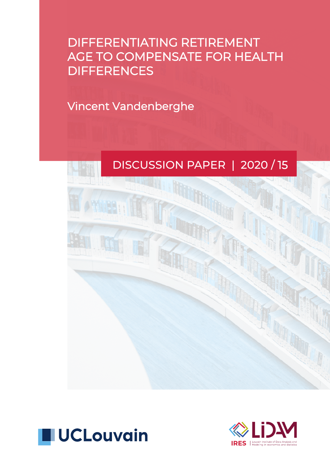# DIFFERENTIATING RETIREMENT AGE TO COMPENSATE FOR HEALTH **DIFFERENCES**

Vincent Vandenberghe





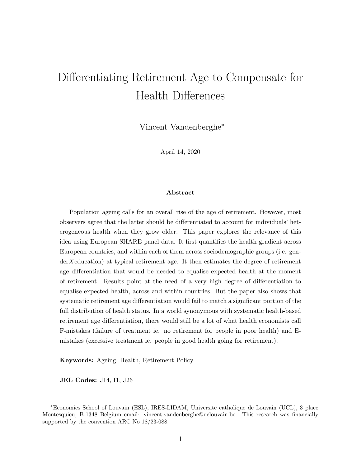## Differentiating Retirement Age to Compensate for Health Differences

Vincent Vandenberghe<sup>∗</sup>

April 14, 2020

#### Abstract

Population ageing calls for an overall rise of the age of retirement. However, most observers agree that the latter should be differentiated to account for individuals' heterogeneous health when they grow older. This paper explores the relevance of this idea using European SHARE panel data. It first quantifies the health gradient across European countries, and within each of them across sociodemographic groups (i.e. genderX education) at typical retirement age. It then estimates the degree of retirement age differentiation that would be needed to equalise expected health at the moment of retirement. Results point at the need of a very high degree of differentiation to equalise expected health, across and within countries. But the paper also shows that systematic retirement age differentiation would fail to match a significant portion of the full distribution of health status. In a world synonymous with systematic health-based retirement age differentiation, there would still be a lot of what health economists call F-mistakes (failure of treatment ie. no retirement for people in poor health) and Emistakes (excessive treatment ie. people in good health going for retirement).

Keywords: Ageing, Health, Retirement Policy

JEL Codes: J14, I1, J26

<sup>∗</sup>Economics School of Louvain (ESL), IRES-LIDAM, Universit´e catholique de Louvain (UCL), 3 place Montesquieu, B-1348 Belgium email: vincent.vandenberghe@uclouvain.be. This research was financially supported by the convention ARC No 18/23-088.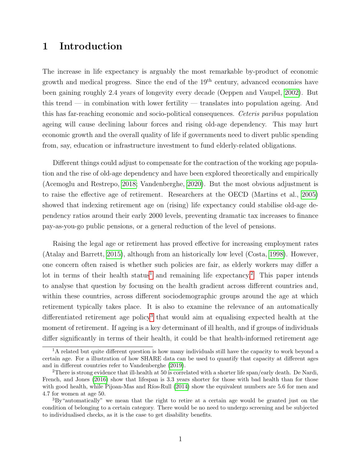## 1 Introduction

The increase in life expectancy is arguably the most remarkable by-product of economic growth and medical progress. Since the end of the 19th century, advanced economies have been gaining roughly 2.4 years of longevity every decade (Oeppen and Vaupel, [2002\)](#page-22-0). But this trend — in combination with lower fertility — translates into population ageing. And this has far-reaching economic and socio-political consequences. Ceteris paribus population ageing will cause declining labour forces and rising old-age dependency. This may hurt economic growth and the overall quality of life if governments need to divert public spending from, say, education or infrastructure investment to fund elderly-related obligations.

Different things could adjust to compensate for the contraction of the working age population and the rise of old-age dependency and have been explored theoretically and empirically (Acemoglu and Restrepo, [2018;](#page-21-0) Vandenberghe, [2020\)](#page-23-0). But the most obvious adjustment is to raise the effective age of retirement. Researchers at the OECD (Martins et al., [2005\)](#page-22-1) showed that indexing retirement age on (rising) life expectancy could stabilise old-age dependency ratios around their early 2000 levels, preventing dramatic tax increases to finance pay-as-you-go public pensions, or a general reduction of the level of pensions.

Raising the legal age or retirement has proved effective for increasing employment rates (Atalay and Barrett, [2015\)](#page-22-2), although from an historically low level (Costa, [1998\)](#page-22-3). However, one concern often raised is whether such policies are fair, as elderly workers may differ a lot in terms of their health status<sup>[1](#page-2-0)</sup> and remaining life expectancy.<sup>[2](#page-2-1)</sup> This paper intends to analyse that question by focusing on the health gradient across different countries and, within these countries, across different sociodemographic groups around the age at which retirement typically takes place. It is also to examine the relevance of an automatically differentiated retirement age policy<sup>[3](#page-2-2)</sup> that would aim at equalising expected health at the moment of retirement. If ageing is a key determinant of ill health, and if groups of individuals differ significantly in terms of their health, it could be that health-informed retirement age

<span id="page-2-0"></span><sup>&</sup>lt;sup>1</sup>A related but quite different question is how many individuals still have the capacity to work beyond a certain age. For a illustration of how SHARE data can be used to quantify that capacity at different ages and in different countries refer to Vandenberghe [\(2019\)](#page-23-1).

<span id="page-2-1"></span><sup>2</sup>There is strong evidence that ill-health at 50 is correlated with a shorter life span/early death. De Nardi, French, and Jones [\(2016\)](#page-22-4) show that lifespan is 3.3 years shorter for those with bad health than for those with good health, while Pijoan-Mas and Ríos-Rull  $(2014)$  show the equivalent numbers are 5.6 for men and 4.7 for women at age 50.

<span id="page-2-2"></span> ${}^{3}Bv$  "automatically" we mean that the right to retire at a certain age would be granted just on the condition of belonging to a certain category. There would be no need to undergo screening and be subjected to individualised checks, as it is the case to get disability benefits.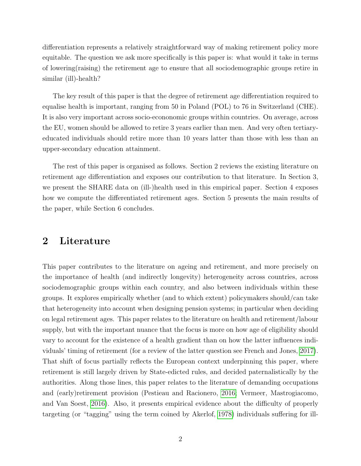differentiation represents a relatively straightforward way of making retirement policy more equitable. The question we ask more specifically is this paper is: what would it take in terms of lowering(raising) the retirement age to ensure that all sociodemographic groups retire in similar (ill)-health?

The key result of this paper is that the degree of retirement age differentiation required to equalise health is important, ranging from 50 in Poland (POL) to 76 in Switzerland (CHE). It is also very important across socio-econonomic groups within countries. On average, across the EU, women should be allowed to retire 3 years earlier than men. And very often tertiaryeducated individuals should retire more than 10 years latter than those with less than an upper-secondary education attainment.

The rest of this paper is organised as follows. Section 2 reviews the existing literature on retirement age differentiation and exposes our contribution to that literature. In Section 3, we present the SHARE data on (ill-)health used in this empirical paper. Section 4 exposes how we compute the differentiated retirement ages. Section 5 presents the main results of the paper, while Section 6 concludes.

### 2 Literature

This paper contributes to the literature on ageing and retirement, and more precisely on the importance of health (and indirectly longevity) heterogeneity across countries, across sociodemographic groups within each country, and also between individuals within these groups. It explores empirically whether (and to which extent) policymakers should/can take that heterogeneity into account when designing pension systems; in particular when deciding on legal retirement ages. This paper relates to the literature on health and retirement/labour supply, but with the important nuance that the focus is more on how age of eligibility should vary to account for the existence of a health gradient than on how the latter influences individuals' timing of retirement (for a review of the latter question see French and Jones, [2017\)](#page-22-5). That shift of focus partially reflects the European context underpinning this paper, where retirement is still largely driven by State-edicted rules, and decided paternalistically by the authorities. Along those lines, this paper relates to the literature of demanding occupations and (early)retirement provision (Pestieau and Racionero, [2016;](#page-22-6) Vermeer, Mastrogiacomo, and Van Soest, [2016\)](#page-23-3). Also, it presents empirical evidence about the difficulty of properly targeting (or "tagging" using the term coined by Akerlof, [1978\)](#page-22-7) individuals suffering for ill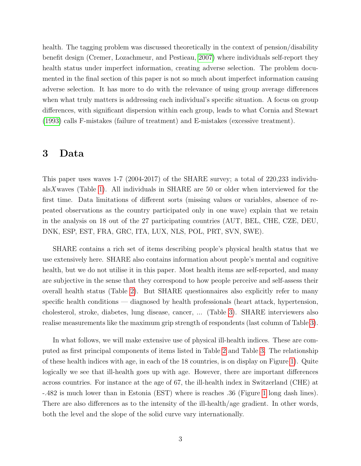health. The tagging problem was discussed theoretically in the context of pension/disability benefit design (Cremer, Lozachmeur, and Pestieau, [2007\)](#page-22-8) where individuals self-report they health status under imperfect information, creating adverse selection. The problem documented in the final section of this paper is not so much about imperfect information causing adverse selection. It has more to do with the relevance of using group average differences when what truly matters is addressing each individual's specific situation. A focus on group differences, with significant dispersion within each group, leads to what Cornia and Stewart [\(1993\)](#page-22-9) calls F-mistakes (failure of treatment) and E-mistakes (excessive treatment).

#### 3 Data

This paper uses waves 1-7 (2004-2017) of the SHARE survey; a total of 220,233 individualsX waves (Table [1\)](#page-5-0). All individuals in SHARE are 50 or older when interviewed for the first time. Data limitations of different sorts (missing values or variables, absence of repeated observations as the country participated only in one wave) explain that we retain in the analysis on 18 out of the 27 participating countries (AUT, BEL, CHE, CZE, DEU, DNK, ESP, EST, FRA, GRC, ITA, LUX, NLS, POL, PRT, SVN, SWE).

SHARE contains a rich set of items describing people's physical health status that we use extensively here. SHARE also contains information about people's mental and cognitive health, but we do not utilise it in this paper. Most health items are self-reported, and many are subjective in the sense that they correspond to how people perceive and self-assess their overall health status (Table [2\)](#page-6-0). But SHARE questionnaires also explicitly refer to many specific health conditions — diagnosed by health professionals (heart attack, hypertension, cholesterol, stroke, diabetes, lung disease, cancer, ... (Table [3\)](#page-7-0). SHARE interviewers also realise measurements like the maximum grip strength of respondents (last column of Table [3\)](#page-7-0).

In what follows, we will make extensive use of physical ill-health indices. These are computed as first principal components of items listed in Table [2](#page-6-0) and Table [3.](#page-7-0) The relationship of these health indices with age, in each of the 18 countries, is on display on Figure [1\)](#page-8-0). Quite logically we see that ill-health goes up with age. However, there are important differences across countries. For instance at the age of 67, the ill-health index in Switzerland (CHE) at -.482 is much lower than in Estonia (EST) where is reaches .36 (Figure [1](#page-8-0) long dash lines). There are also differences as to the intensity of the ill-health/age gradient. In other words, both the level and the slope of the solid curve vary internationally.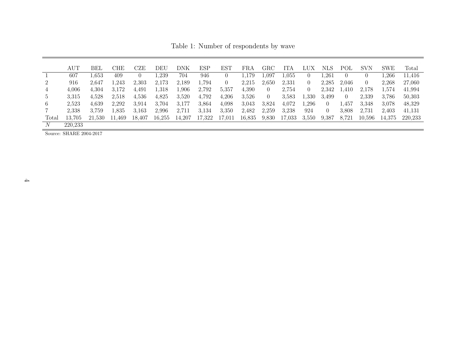Table 1: Number of respondents by wave

|                 | AUT                     | BEL    | CHE    | CZE    | DEU    | DNK    | ESP    | EST      | FRA    | $_{\rm GRC}$   | ITA       | ЛIХ      | NLS      | POL      | <b>SVN</b> | <b>SWE</b> | Total   |
|-----------------|-------------------------|--------|--------|--------|--------|--------|--------|----------|--------|----------------|-----------|----------|----------|----------|------------|------------|---------|
|                 | 607                     | 1.653  | 409    |        | l.239  | 704    | 946    |          | 1.179  | l.097          | $1.055\,$ | $\theta$ | .261     |          |            | .266       | 11.416  |
| $\overline{2}$  | 916                     | 2,647  | l.243  | 2,303  | 2,173  | 2,189  | 1.794  | $\theta$ | 2,215  | 2,650          | 2,331     | 0        | 2,285    | 2,046    | $\theta$   | 2,268      | 27,060  |
| 4               | 4.006                   | 4,304  | 3,172  | 4.491  | 1.318  | l.906  | 2,792  | 5,357    | 4,390  | $\theta$       | 2,754     | 0        | 2,342    | ,410     | 2,178      | 1,574      | 41,994  |
| $5\overline{)}$ | 3.315                   | 4,528  | 2,518  | 4,536  | 4,825  | 3,520  | 4,792  | 4,206    | 3.526  | $\overline{0}$ | 3.583     | 1,330    | 3.499    | $\theta$ | 2,339      | 3.786      | 50,303  |
| 6               | 2,523                   | 4,639  | 2,292  | 3.914  | 3.704  | 3.177  | 3.864  | 4.098    | 3.043  | 3,824          | 4,072     | .,296    | $\theta$ | .457     | 3.348      | 3.078      | 48,329  |
|                 | 2,338                   | 3.759  | l.835  | 3.163  | 2,996  | 2,711  | 3.134  | 3.350    | 2,482  | 2,259          | 3.238     | 924      | $\theta$ | 3.808    | 2,731      | 2,403      | 41,131  |
| Total           | 13,705                  | 21.530 | 11,469 | 18,407 | 16,255 | 14,207 | 17,322 | 17,011   | 16,835 | 9,830          | 17,033    | 3,550    | 9.387    | 8,721    | 10.596     | 14,375     | 220,233 |
| N               | 220.233                 |        |        |        |        |        |        |          |        |                |           |          |          |          |            |            |         |
|                 | Source: SHARE 2004-2017 |        |        |        |        |        |        |          |        |                |           |          |          |          |            |            |         |

<span id="page-5-0"></span>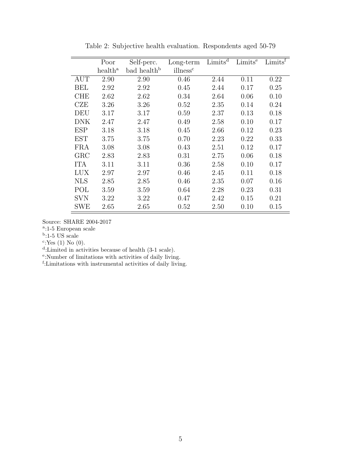<span id="page-6-0"></span>

|            | Poor                | Self-perc.              | Long-term            | Limits <sup>d</sup> | Limits <sup>e</sup> | Limits <sup>f</sup> |
|------------|---------------------|-------------------------|----------------------|---------------------|---------------------|---------------------|
|            | health <sup>a</sup> | bad health <sup>b</sup> | illness <sup>c</sup> |                     |                     |                     |
| <b>AUT</b> | 2.90                | 2.90                    | 0.46                 | 2.44                | 0.11                | 0.22                |
| <b>BEL</b> | 2.92                | 2.92                    | 0.45                 | 2.44                | 0.17                | 0.25                |
| <b>CHE</b> | 2.62                | 2.62                    | 0.34                 | 2.64                | 0.06                | 0.10                |
| CZE        | 3.26                | 3.26                    | 0.52                 | 2.35                | 0.14                | 0.24                |
| DEU        | 3.17                | 3.17                    | 0.59                 | 2.37                | 0.13                | 0.18                |
| DNK        | 2.47                | 2.47                    | 0.49                 | 2.58                | 0.10                | 0.17                |
| <b>ESP</b> | 3.18                | 3.18                    | 0.45                 | 2.66                | 0.12                | 0.23                |
| <b>EST</b> | 3.75                | 3.75                    | 0.70                 | 2.23                | 0.22                | 0.33                |
| FRA        | 3.08                | 3.08                    | 0.43                 | 2.51                | 0.12                | 0.17                |
| GRC        | 2.83                | 2.83                    | 0.31                 | 2.75                | 0.06                | 0.18                |
| <b>ITA</b> | 3.11                | 3.11                    | 0.36                 | 2.58                | 0.10                | 0.17                |
| <b>LUX</b> | 2.97                | 2.97                    | 0.46                 | 2.45                | 0.11                | 0.18                |
| <b>NLS</b> | 2.85                | 2.85                    | 0.46                 | 2.35                | 0.07                | 0.16                |
| POL        | 3.59                | 3.59                    | 0.64                 | 2.28                | 0.23                | 0.31                |
| SVN        | 3.22                | 3.22                    | 0.47                 | 2.42                | 0.15                | 0.21                |
| SWE        | 2.65                | 2.65                    | 0.52                 | 2.50                | 0.10                | 0.15                |

Table 2: Subjective health evaluation. Respondents aged 50-79

a :1-5 European scale

<sup>b</sup>:1-5 US scale

<sup>c</sup>:Yes (1) No (0).<br>d:Limited in activities because of health (3-1 scale).<br> $e^{\text{e}}$ :Number of limitations with activities of daily living.<br> $f$ :Limitations with instrumental activities of daily living.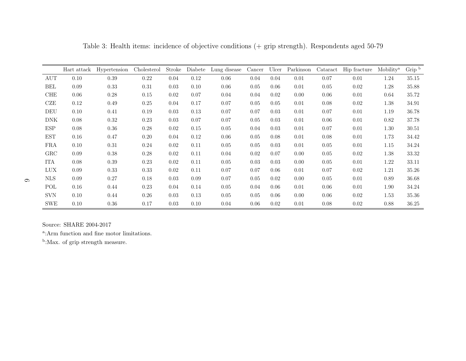|            | Hart attack | Hypertension | Cholesterol | Stroke | Diabete | Lung disease | Cancer | Ulcer | Parkinson | Cataract | Hip fracture | Mobility <sup>a</sup> | Grip b |
|------------|-------------|--------------|-------------|--------|---------|--------------|--------|-------|-----------|----------|--------------|-----------------------|--------|
| AUT        | 0.10        | 0.39         | 0.22        | 0.04   | 0.12    | 0.06         | 0.04   | 0.04  | 0.01      | 0.07     | 0.01         | 1.24                  | 35.15  |
| BEL        | 0.09        | 0.33         | 0.31        | 0.03   | 0.10    | 0.06         | 0.05   | 0.06  | 0.01      | 0.05     | 0.02         | 1.28                  | 35.88  |
| <b>CHE</b> | 0.06        | 0.28         | 0.15        | 0.02   | 0.07    | 0.04         | 0.04   | 0.02  | 0.00      | 0.06     | 0.01         | 0.64                  | 35.72  |
| CZE        | 0.12        | 0.49         | 0.25        | 0.04   | 0.17    | 0.07         | 0.05   | 0.05  | 0.01      | 0.08     | 0.02         | 1.38                  | 34.91  |
| DEU        | 0.10        | 0.41         | 0.19        | 0.03   | 0.13    | 0.07         | 0.07   | 0.03  | 0.01      | 0.07     | 0.01         | 1.19                  | 36.78  |
| <b>DNK</b> | 0.08        | 0.32         | 0.23        | 0.03   | 0.07    | 0.07         | 0.05   | 0.03  | 0.01      | 0.06     | 0.01         | 0.82                  | 37.78  |
| <b>ESP</b> | 0.08        | 0.36         | 0.28        | 0.02   | 0.15    | 0.05         | 0.04   | 0.03  | 0.01      | 0.07     | 0.01         | 1.30                  | 30.51  |
| <b>EST</b> | 0.16        | 0.47         | 0.20        | 0.04   | 0.12    | 0.06         | 0.05   | 0.08  | 0.01      | 0.08     | 0.01         | 1.73                  | 34.42  |
| <b>FRA</b> | 0.10        | 0.31         | 0.24        | 0.02   | 0.11    | 0.05         | 0.05   | 0.03  | 0.01      | 0.05     | 0.01         | 1.15                  | 34.24  |
| GRC        | 0.09        | 0.38         | 0.28        | 0.02   | 0.11    | 0.04         | 0.02   | 0.07  | 0.00      | 0.05     | 0.02         | 1.38                  | 33.32  |
| <b>ITA</b> | 0.08        | 0.39         | 0.23        | 0.02   | 0.11    | 0.05         | 0.03   | 0.03  | 0.00      | 0.05     | 0.01         | 1.22                  | 33.11  |
| <b>LUX</b> | 0.09        | 0.33         | 0.33        | 0.02   | 0.11    | 0.07         | 0.07   | 0.06  | 0.01      | 0.07     | 0.02         | 1.21                  | 35.26  |
| <b>NLS</b> | 0.09        | 0.27         | 0.18        | 0.03   | 0.09    | 0.07         | 0.05   | 0.02  | 0.00      | 0.05     | 0.01         | 0.89                  | 36.68  |
| POL        | 0.16        | 0.44         | 0.23        | 0.04   | 0.14    | 0.05         | 0.04   | 0.06  | 0.01      | 0.06     | 0.01         | 1.90                  | 34.24  |
| <b>SVN</b> | 0.10        | 0.44         | 0.26        | 0.03   | 0.13    | 0.05         | 0.05   | 0.06  | 0.00      | 0.06     | 0.02         | 1.53                  | 35.36  |
| <b>SWE</b> | 0.10        | 0.36         | 0.17        | 0.03   | 0.10    | 0.04         | 0.06   | 0.02  | 0.01      | 0.08     | 0.02         | 0.88                  | 36.25  |

<span id="page-7-0"></span>Table 3: Health items: incidence of objective conditions (+ grip strength). Respondents aged 50-79

<sup>a</sup>: Arm function and fine motor limitations.

<sup>b</sup>:Max. of grip strength measure.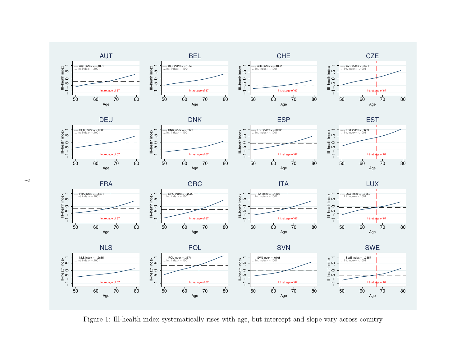











<span id="page-8-0"></span>

Figure 1: Ill-health index systematically rises with age, but intercept and slope vary across country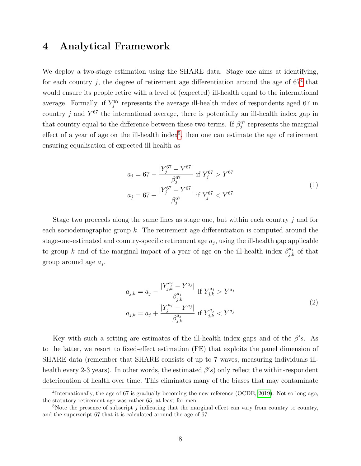#### 4 Analytical Framework

We deploy a two-stage estimation using the SHARE data. Stage one aims at identifying, for each country  $j$ , the degree of retirement age differentiation around the age of  $67<sup>4</sup>$  $67<sup>4</sup>$  $67<sup>4</sup>$  that would ensure its people retire with a level of (expected) ill-health equal to the international average. Formally, if  $Y_j^{67}$  represents the average ill-health index of respondents aged 67 in country j and  $Y^{67}$  the international average, there is potentially an ill-health index gap in that country equal to the difference between these two terms. If  $\beta_j^{67}$  represents the marginal effect of a year of age on the ill-health index<sup>[5](#page-9-1)</sup>, then one can estimate the age of retirement ensuring equalisation of expected ill-health as

$$
a_j = 67 - \frac{|Y_j^{67} - Y^{67}|}{\beta_j^{67}} \text{ if } Y_j^{67} > Y^{67}
$$
  

$$
a_j = 67 + \frac{|Y_j^{67} - Y^{67}|}{\beta_j^{67}} \text{ if } Y_j^{67} < Y^{67}
$$
 (1)

Stage two proceeds along the same lines as stage one, but within each country j and for each sociodemographic group  $k$ . The retirement age differentiation is computed around the stage-one-estimated and country-specific retirement age  $a_j$ , using the ill-health gap applicable to group k and of the marginal impact of a year of age on the ill-health index  $\beta_{j,k}^{a_j}$  of that group around age  $a_j$ .

$$
a_{j,k} = a_j - \frac{|Y_{j,k}^{a_j} - Y^{a_j}|}{\beta_{j,k}^{a_j}} \text{ if } Y_{j,k}^{a_j} > Y^{a_j}
$$
  

$$
a_{j,k} = a_j + \frac{|Y_j^{a_j} - Y^{a_j}|}{\beta_{j,k}^{a_j}} \text{ if } Y_{j,k}^{a_j} < Y^{a_j}
$$
 (2)

Key with such a setting are estimates of the ill-health index gaps and of the  $\beta's$ . As to the latter, we resort to fixed-effect estimation (FE) that exploits the panel dimension of SHARE data (remember that SHARE consists of up to 7 waves, measuring individuals illhealth every 2-3 years). In other words, the estimated  $\beta's$  only reflect the within-respondent deterioration of health over time. This eliminates many of the biases that may contaminate

<span id="page-9-0"></span><sup>&</sup>lt;sup>4</sup>Internationally, the age of 67 is gradually becoming the new reference (OCDE, [2019\)](#page-22-10). Not so long ago, the statutory retirement age was rather 65, at least for men.

<span id="page-9-1"></span> $5$ Note the presence of subscript j indicating that the marginal effect can vary from country to country, and the superscript 67 that it is calculated around the age of 67.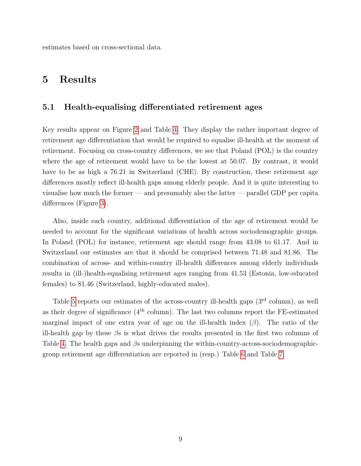estimates based on cross-sectional data.

### 5 Results

#### 5.1 Health-equalising differentiated retirement ages

Key results appear on Figure [2](#page-11-0) and Table [4.](#page-13-0) They display the rather important degree of retirement age differentiation that would be required to equalise ill-health at the moment of retirement. Focusing on cross-country differences, we see that Poland (POL) is the country where the age of retirement would have to be the lowest at 50.07. By contrast, it would have to be as high a 76.21 in Switzerland (CHE). By construction, these retirement age differences mostly reflect ill-health gaps among elderly people. And it is quite interesting to visualise how much the former — and presumably also the latter — parallel GDP per capita differences (Figure [3\)](#page-12-0).

Also, inside each country, additional differentiation of the age of retirement would be needed to account for the significant variations of health across sociodemographic groups. In Poland (POL) for instance, retirement age should range from 43.08 to 61.17. And in Switzerland our estimates are that it should be comprised between 71.48 and 81.86. The combination of across- and within-country ill-health differences among elderly individuals results in (ill-)health-equalising retirement ages ranging from 41.53 (Estonia, low-educated females) to 81.46 (Switzerland, highly-educated males).

Table [5](#page-14-0) reports our estimates of the across-country ill-health gaps (3<sup>rd</sup> column), as well as their degree of significance  $(4<sup>th</sup>$  column). The last two columns report the FE-estimated marginal impact of one extra year of age on the ill-health index  $(\beta)$ . The ratio of the ill-health gap by these  $\beta s$  is what drives the results presented in the first two columns of Table [4.](#page-13-0) The health gaps and  $\beta s$  underpinning the within-country-across-sociodemographicgroup retirement age differentiation are reported in (resp.) Table [6](#page-15-0) and Table [7.](#page-16-0)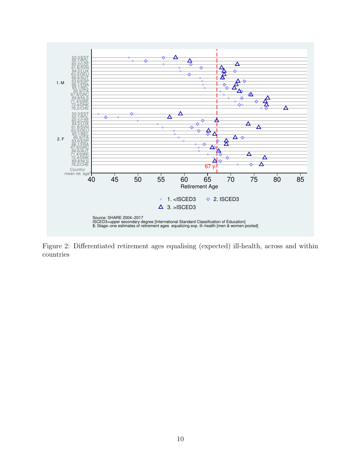<span id="page-11-0"></span>

Figure 2: Differentiated retirement ages equalising (expected) ill-health, across and within countries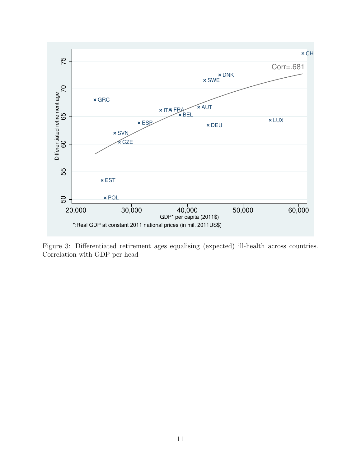<span id="page-12-0"></span>

Figure 3: Differentiated retirement ages equalising (expected) ill-health across countries. Correlation with GDP per head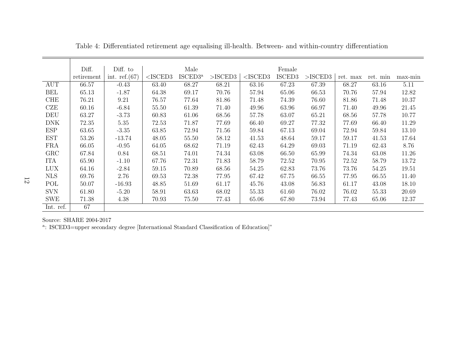|            | Diff.      | Diff. to        |            | Male                |            |            | Female |            |          |          |         |
|------------|------------|-----------------|------------|---------------------|------------|------------|--------|------------|----------|----------|---------|
|            | retirement | int. $ref.(67)$ | $<$ ISCED3 | ISCED3 <sup>a</sup> | $>$ ISCED3 | $<$ ISCED3 | ISCED3 | $>$ ISCED3 | ret. max | ret. min | max-min |
| <b>AUT</b> | 66.57      | $-0.43$         | 63.40      | 68.27               | 68.21      | 63.16      | 67.23  | 67.39      | 68.27    | 63.16    | 5.11    |
| BEL        | 65.13      | $-1.87$         | 64.38      | 69.17               | 70.76      | 57.94      | 65.06  | 66.53      | 70.76    | 57.94    | 12.82   |
| <b>CHE</b> | 76.21      | 9.21            | 76.57      | 77.64               | 81.86      | 71.48      | 74.39  | 76.60      | 81.86    | 71.48    | 10.37   |
| CZE        | 60.16      | $-6.84$         | 55.50      | 61.39               | 71.40      | 49.96      | 63.96  | 66.97      | 71.40    | 49.96    | 21.45   |
| DEU        | 63.27      | $-3.73$         | 60.83      | 61.06               | 68.56      | 57.78      | 63.07  | 65.21      | 68.56    | 57.78    | 10.77   |
| <b>DNK</b> | 72.35      | 5.35            | 72.53      | 71.87               | 77.69      | 66.40      | 69.27  | 77.32      | 77.69    | 66.40    | 11.29   |
| <b>ESP</b> | 63.65      | $-3.35$         | 63.85      | 72.94               | 71.56      | 59.84      | 67.13  | 69.04      | 72.94    | 59.84    | 13.10   |
| <b>EST</b> | 53.26      | -13.74          | 48.05      | 55.50               | 58.12      | 41.53      | 48.64  | 59.17      | 59.17    | 41.53    | 17.64   |
| <b>FRA</b> | 66.05      | $-0.95$         | 64.05      | 68.62               | 71.19      | 62.43      | 64.29  | 69.03      | 71.19    | 62.43    | 8.76    |
| GRC        | 67.84      | 0.84            | 68.51      | 74.01               | 74.34      | 63.08      | 66.50  | 65.99      | 74.34    | 63.08    | 11.26   |
| <b>ITA</b> | 65.90      | $-1.10$         | 67.76      | 72.31               | 71.83      | 58.79      | 72.52  | 70.95      | 72.52    | 58.79    | 13.72   |
| <b>LUX</b> | 64.16      | $-2.84$         | 59.15      | 70.89               | 68.56      | 54.25      | 62.83  | 73.76      | 73.76    | 54.25    | 19.51   |
| <b>NLS</b> | 69.76      | 2.76            | 69.53      | 72.38               | 77.95      | 67.42      | 67.75  | 66.55      | 77.95    | 66.55    | 11.40   |
| POL        | 50.07      | $-16.93$        | 48.85      | 51.69               | 61.17      | 45.76      | 43.08  | 56.83      | 61.17    | 43.08    | 18.10   |
| <b>SVN</b> | 61.80      | $-5.20$         | 58.91      | 63.63               | 68.02      | 55.33      | 61.60  | 76.02      | 76.02    | 55.33    | 20.69   |
| <b>SWE</b> | 71.38      | 4.38            | 70.93      | 75.50               | 77.43      | 65.06      | 67.80  | 73.94      | 77.43    | 65.06    | 12.37   |
| Int. ref.  | 67         |                 |            |                     |            |            |        |            |          |          |         |

Table 4: Differentiated retirement age equalising ill-health. Between- and within-country differentiation

<span id="page-13-0"></span><sup>a</sup>: ISCED3=upper secondary degree [International Standard Classification of Education]"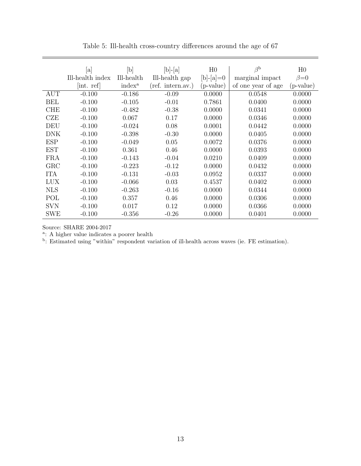<span id="page-14-0"></span>

|            | $ {\rm a} $      | [b]                | $[b]-[a]$         | H <sub>0</sub> | $\beta^{\rm b}$    | H <sub>0</sub> |
|------------|------------------|--------------------|-------------------|----------------|--------------------|----------------|
|            | Ill-health index | Ill-health         | Ill-health gap    | $[b]$ -[a]=0   | marginal impact    | $\beta = 0$    |
|            | [int. ref]       | index <sup>a</sup> | (ref. intern.av.) | (p-value)      | of one year of age | (p-value)      |
| <b>AUT</b> | $-0.100$         | $-0.186$           | $-0.09$           | 0.0000         | 0.0548             | 0.0000         |
| <b>BEL</b> | $-0.100$         | $-0.105$           | $-0.01$           | 0.7861         | 0.0400             | 0.0000         |
| <b>CHE</b> | $-0.100$         | $-0.482$           | $-0.38$           | 0.0000         | 0.0341             | 0.0000         |
| CZE        | $-0.100$         | 0.067              | 0.17              | 0.0000         | 0.0346             | 0.0000         |
| DEU        | $-0.100$         | $-0.024$           | 0.08              | 0.0001         | 0.0442             | 0.0000         |
| <b>DNK</b> | $-0.100$         | $-0.398$           | $-0.30$           | 0.0000         | 0.0405             | 0.0000         |
| <b>ESP</b> | $-0.100$         | $-0.049$           | 0.05              | 0.0072         | 0.0376             | 0.0000         |
| <b>EST</b> | $-0.100$         | 0.361              | 0.46              | 0.0000         | 0.0393             | 0.0000         |
| <b>FRA</b> | $-0.100$         | $-0.143$           | $-0.04$           | 0.0210         | 0.0409             | 0.0000         |
| GRC        | $-0.100$         | $-0.223$           | $-0.12$           | 0.0000         | 0.0432             | 0.0000         |
| <b>ITA</b> | $-0.100$         | $-0.131$           | $-0.03$           | 0.0952         | 0.0337             | 0.0000         |
| <b>LUX</b> | $-0.100$         | $-0.066$           | 0.03              | 0.4537         | 0.0402             | 0.0000         |
| <b>NLS</b> | $-0.100$         | $-0.263$           | $-0.16$           | 0.0000         | 0.0344             | 0.0000         |
| POL        | $-0.100$         | 0.357              | 0.46              | 0.0000         | 0.0306             | 0.0000         |
| <b>SVN</b> | $-0.100$         | 0.017              | 0.12              | 0.0000         | 0.0366             | 0.0000         |
| <b>SWE</b> | $-0.100$         | $-0.356$           | $-0.26$           | 0.0000         | 0.0401             | 0.0000         |

Table 5: Ill-health cross-country differences around the age of 67

<sup>a</sup>: A higher value indicates a poorer health<br><sup>b</sup>: Estimated using "within" respondent variation of ill-health across waves (ie. FE estimation).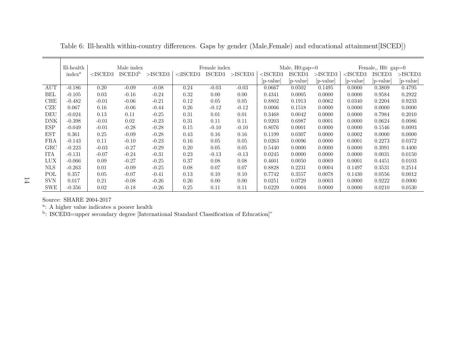|              | Ill-health         | Male index |                     |            |             | Female index |            |            | Male, $H0:gap=0$ |             |            | Female, $H0: gap=0$ |            |
|--------------|--------------------|------------|---------------------|------------|-------------|--------------|------------|------------|------------------|-------------|------------|---------------------|------------|
|              | index <sup>a</sup> | $<$ ISCED3 | ISCED3 <sup>b</sup> | $>$ ISCED3 | $<$ iISCED3 | ISCED3       | $>$ ISCED3 | $<$ ISCED3 | ISCED3           | $>$ ISCED3  | $<$ ISCED3 | ISCED3              | $>$ ISCED3 |
|              |                    |            |                     |            |             |              |            | p-value    | p-value          | $ p-value $ | p-value    | p-value             | [p-value]  |
| AUT          | $-0.186$           | 0.20       | $-0.09$             | $-0.08$    | 0.24        | $-0.03$      | $-0.03$    | 0.0667     | 0.0502           | 0.1495      | 0.0000     | 0.3809              | 0.4795     |
| BEL          | $-0.105$           | 0.03       | $-0.16$             | $-0.24$    | 0.32        | 0.00         | 0.00       | 0.4341     | 0.0005           | 0.0000      | 0.0000     | 0.9584              | 0.2922     |
| <b>CHE</b>   | $-0.482$           | $-0.01$    | $-0.06$             | $-0.21$    | 0.12        | 0.05         | 0.05       | 0.8802     | 0.1913           | 0.0062      | 0.0340     | 0.2204              | 0.9233     |
| CZE          | 0.067              | 0.16       | $-0.06$             | $-0.44$    | 0.26        | $-0.12$      | $-0.12$    | 0.0006     | 0.1518           | 0.0000      | 0.0000     | 0.0000              | 0.0000     |
| DEU          | $-0.024$           | 0.13       | 0.11                | $-0.25$    | 0.31        | 0.01         | 0.01       | 0.3468     | 0.0042           | 0.0000      | 0.0000     | 0.7984              | 0.2010     |
| <b>DNK</b>   | $-0.398$           | $-0.01$    | 0.02                | $-0.23$    | 0.31        | 0.11         | 0.11       | 0.9203     | 0.6987           | 0.0001      | 0.0000     | 0.0624              | 0.0086     |
| <b>ESP</b>   | $-0.049$           | $-0.01$    | $-0.28$             | $-0.28$    | 0.15        | $-0.10$      | $-0.10$    | 0.8076     | 0.0001           | 0.0000      | 0.0000     | 0.1546              | 0.0093     |
| <b>EST</b>   | 0.361              | 0.25       | $-0.09$             | $-0.28$    | 0.43        | 0.16         | 0.16       | 0.1199     | 0.0307           | 0.0000      | 0.0002     | 0.0000              | 0.0000     |
| FRA          | $-0.143$           | 0.11       | $-0.10$             | $-0.23$    | 0.16        | 0.05         | 0.05       | 0.0263     | 0.0096           | 0.0000      | 0.0001     | 0.2273              | 0.0372     |
| $_{\rm GRC}$ | $-0.223$           | $-0.03$    | $-0.27$             | $-0.29$    | 0.20        | 0.05         | 0.05       | 0.5440     | 0.0000           | 0.0000      | 0.0000     | 0.3991              | 0.4400     |
| ITA          | $-0.131$           | $-0.07$    | $-0.24$             | $-0.31$    | 0.23        | $-0.13$      | $-0.13$    | 0.0245     | 0.0000           | 0.0000      | 0.0000     | 0.0031              | 0.0150     |
| <b>LUX</b>   | $-0.066$           | 0.09       | $-0.27$             | $-0.25$    | 0.37        | 0.08         | 0.08       | 0.4601     | 0.0050           | 0.0069      | 0.0001     | 0.4451              | 0.0103     |
| <b>NLS</b>   | $-0.263$           | 0.01       | $-0.09$             | $-0.25$    | 0.08        | 0.07         | 0.07       | 0.8828     | 0.2231           | 0.0004      | 0.1497     | 0.3531              | 0.2514     |
| POL          | 0.357              | 0.05       | $-0.07$             | $-0.41$    | 0.13        | 0.10         | 0.10       | 0.7742     | 0.3557           | 0.0078      | 0.1430     | 0.0556              | 0.0012     |
| <b>SVN</b>   | 0.017              | 0.21       | $-0.08$             | $-0.26$    | 0.26        | 0.00         | 0.00       | 0.0251     | 0.0729           | 0.0003      | 0.0000     | 0.9222              | 0.0000     |
| <b>SWE</b>   | $-0.356$           | 0.02       | $-0.18$             | $-0.26$    | 0.25        | 0.11         | 0.11       | 0.6229     | 0.0004           | 0.0000      | 0.0000     | 0.0210              | 0.0530     |

Table 6: Ill-health within-country differences. Gaps by gender (Male,Female) and educational attainment[ISCED])

╤

<span id="page-15-0"></span><sup>a</sup>: A higher value indicates a poorer health<br><sup>b</sup>: ISCED3=upper secondary degree [International Standard Classification of Education]"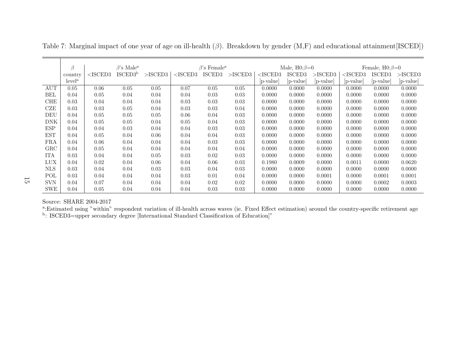|              | ß<br>$\beta$ 's Male <sup>a</sup> |            |                     |            | $\beta$ 's Female <sup>a</sup> |        |            | Male, $H0:\beta=0$ |             |            | Female, $H0:\beta=0$ |             |            |
|--------------|-----------------------------------|------------|---------------------|------------|--------------------------------|--------|------------|--------------------|-------------|------------|----------------------|-------------|------------|
|              | country                           | $<$ ISCED3 | ISCED3 <sup>b</sup> | $>$ ISCED3 | ${<}$ ISCED3                   | ISCED3 | $>$ ISCED3 | ${<}$ ISCED3 $\!$  | ISCED3      | $>$ ISCED3 | $<$ ISCED3           | ISCED3      | $>$ ISCED3 |
|              | level <sup>a</sup>                |            |                     |            |                                |        |            | $ p$ -value        | $ p-value $ | p-value    | p-value              | $ p-value $ | p-value    |
| <b>AUT</b>   | 0.05                              | 0.06       | 0.05                | 0.05       | 0.07                           | 0.05   | 0.05       | 0.0000             | 0.0000      | 0.0000     | 0.0000               | 0.0000      | 0.0000     |
| <b>BEL</b>   | 0.04                              | 0.05       | 0.04                | 0.04       | 0.04                           | 0.03   | 0.03       | 0.0000             | 0.0000      | 0.0000     | 0.0000               | 0.0000      | 0.0000     |
| <b>CHE</b>   | 0.03                              | 0.04       | 0.04                | 0.04       | 0.03                           | 0.03   | 0.03       | 0.0000             | 0.0000      | 0.0000     | 0.0000               | 0.0000      | 0.0000     |
| CZE          | 0.03                              | 0.03       | 0.05                | 0.04       | 0.03                           | 0.03   | 0.04       | 0.0000             | 0.0000      | 0.0000     | 0.0000               | 0.0000      | 0.0000     |
| DEU          | 0.04                              | 0.05       | 0.05                | 0.05       | 0.06                           | 0.04   | 0.03       | 0.0000             | 0.0000      | 0.0000     | 0.0000               | 0.0000      | 0.0000     |
| DNK          | 0.04                              | 0.05       | 0.05                | 0.04       | 0.05                           | 0.04   | 0.03       | 0.0000             | 0.0000      | 0.0000     | 0.0000               | 0.0000      | 0.0000     |
| <b>ESP</b>   | 0.04                              | 0.04       | 0.03                | 0.04       | 0.04                           | 0.03   | 0.03       | 0.0000             | 0.0000      | 0.0000     | 0.0000               | 0.0000      | 0.0000     |
| <b>EST</b>   | 0.04                              | 0.05       | 0.04                | 0.06       | 0.04                           | 0.04   | 0.03       | 0.0000             | 0.0000      | 0.0000     | 0.0000               | 0.0000      | 0.0000     |
| FRA          | 0.04                              | 0.06       | 0.04                | 0.04       | 0.04                           | 0.03   | 0.03       | 0.0000             | 0.0000      | 0.0000     | 0.0000               | 0.0000      | 0.0000     |
| $_{\rm GRC}$ | 0.04                              | 0.05       | 0.04                | 0.04       | 0.04                           | 0.04   | 0.04       | 0.0000             | 0.0000      | 0.0000     | 0.0000               | 0.0000      | 0.0000     |
| <b>ITA</b>   | 0.03                              | 0.04       | 0.04                | 0.05       | 0.03                           | 0.02   | 0.03       | 0.0000             | 0.0000      | 0.0000     | 0.0000               | 0.0000      | 0.0000     |
| LUX          | 0.04                              | 0.02       | 0.04                | 0.06       | 0.04                           | 0.06   | 0.03       | 0.1980             | 0.0009      | 0.0000     | 0.0011               | 0.0000      | 0.0620     |
| <b>NLS</b>   | 0.03                              | 0.04       | 0.04                | 0.03       | 0.03                           | 0.04   | 0.03       | 0.0000             | 0.0000      | 0.0000     | 0.0000               | 0.0000      | 0.0000     |
| POL          | 0.03                              | 0.04       | 0.04                | 0.04       | 0.03                           | 0.01   | 0.04       | 0.0000             | 0.0000      | 0.0001     | 0.0000               | 0.0001      | 0.0001     |
| <b>SVN</b>   | 0.04                              | 0.07       | 0.04                | 0.04       | 0.04                           | 0.02   | 0.02       | 0.0000             | 0.0000      | 0.0000     | 0.0000               | 0.0002      | 0.0003     |
| <b>SWE</b>   | 0.04                              | 0.05       | 0.04                | 0.04       | 0.04                           | 0.03   | 0.03       | 0.0000             | 0.0000      | 0.0000     | 0.0000               | 0.0000      | 0.0000     |

<span id="page-16-0"></span>Table 7: Marginal impact of one year of age on ill-health ( $\beta$ ). Breakdown by gender (M,F) and educational attainment[ISCED])

a:Estimated using "within" respondent variation of ill-health across waves (ie. Fixed Effect estimation) around the country-specific retirement age<br>b: ISCED3=upper secondary degree [International Standard Classification of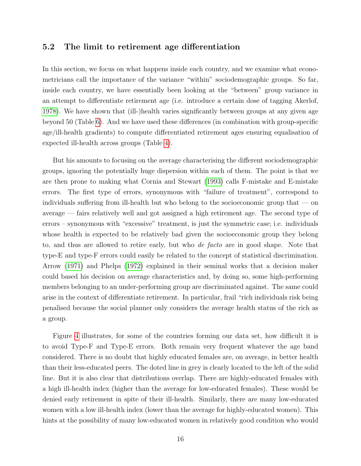#### 5.2 The limit to retirement age differentiation

In this section, we focus on what happens inside each country, and we examine what econometricians call the importance of the variance "within" sociodemographic groups. So far, inside each country, we have essentially been looking at the "between" group variance in an attempt to differentiate retirement age (i.e. introduce a certain dose of tagging Akerlof, [1978\)](#page-22-7). We have shown that (ill-)health varies significantly between groups at any given age beyond 50 (Table [6\)](#page-15-0). And we have used these differences (in combination with group-specific age/ill-health gradients) to compute differentiated retirement ages ensuring equalisation of expected ill-health across groups (Table [4\)](#page-13-0).

But his amounts to focusing on the average characterising the different sociodemographic groups, ignoring the potentially huge dispersion within each of them. The point is that we are then prone to making what Cornia and Stewart [\(1993\)](#page-22-9) calls F-mistake and E-mistake errors. The first type of errors, synonymous with "failure of treatment", correspond to individuals suffering from ill-health but who belong to the socioeconomic group that — on average — fairs relatively well and got assigned a high retirement age. The second type of errors – synonymous with "excessive" treatment, is just the symmetric case; i.e. individuals whose health is expected to be relatively bad given the socioeconomic group they belong to, and thus are allowed to retire early, but who de facto are in good shape. Note that type-E and type-F errors could easily be related to the concept of statistical discrimination. Arrow [\(1971\)](#page-22-11) and Phelps [\(1972\)](#page-23-4) explained in their seminal works that a decision maker could based his decision on average characteristics and, by doing so, some high-performing members belonging to an under-performing group are discriminated against. The same could arise in the context of differentiate retirement. In particular, frail "rich individuals risk being penalised because the social planner only considers the average health status of the rich as a group.

Figure [4](#page-18-0) illustrates, for some of the countries forming our data set, how difficult it is to avoid Type-F and Type-E errors. Both remain very frequent whatever the age band considered. There is no doubt that highly educated females are, on average, in better health than their less-educated peers. The doted line in grey is clearly located to the left of the solid line. But it is also clear that distributions overlap. There are highly-educated females with a high ill-health index (higher than the average for low-educated females). These would be denied early retirement in spite of their ill-health. Similarly, there are many low-educated women with a low ill-health index (lower than the average for highly-educated women). This hints at the possibility of many low-educated women in relatively good condition who would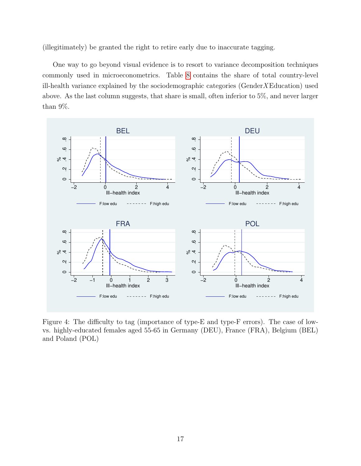(illegitimately) be granted the right to retire early due to inaccurate tagging.

One way to go beyond visual evidence is to resort to variance decomposition techniques commonly used in microeconometrics. Table [8](#page-19-0) contains the share of total country-level ill-health variance explained by the sociodemographic categories (Gender  $X \to Z$  Education) used above. As the last column suggests, that share is small, often inferior to 5%, and never larger than 9%.

<span id="page-18-0"></span>

Figure 4: The difficulty to tag (importance of type-E and type-F errors). The case of lowvs. highly-educated females aged 55-65 in Germany (DEU), France (FRA), Belgium (BEL) and Poland (POL)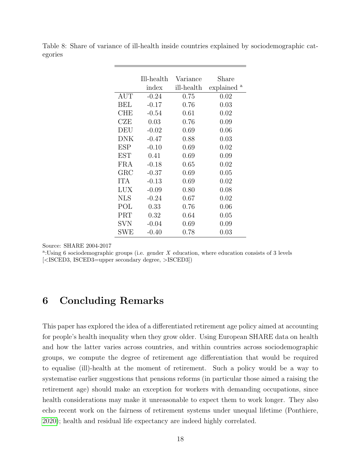<span id="page-19-0"></span>

|         |  |  |  | Table 8: Share of variance of ill-health inside countries explained by sociodemographic cat- |  |  |
|---------|--|--|--|----------------------------------------------------------------------------------------------|--|--|
| egories |  |  |  |                                                                                              |  |  |

|             | Ill-health | Variance   | Share          |
|-------------|------------|------------|----------------|
|             | index      | ill-health | а<br>explained |
| <b>AUT</b>  | $-0.24$    | 0.75       | 0.02           |
| BEL         | $-0.17$    | 0.76       | 0.03           |
| CHE         | $-0.54$    | 0.61       | 0.02           |
| CZE         | 0.03       | 0.76       | 0.09           |
| DEU         | $-0.02$    | 0.69       | 0.06           |
| DNK         | $-0.47$    | 0.88       | 0.03           |
| ESP         | $-0.10$    | 0.69       | 0.02           |
| EST         | 0.41       | 0.69       | 0.09           |
| FRA         | $-0.18$    | 0.65       | 0.02           |
| ${\rm GRC}$ | $-0.37$    | 0.69       | 0.05           |
| <b>ITA</b>  | $-0.13$    | 0.69       | 0.02           |
| LUX         | $-0.09$    | 0.80       | 0.08           |
| NLS         | $-0.24$    | 0.67       | 0.02           |
| POL         | 0.33       | 0.76       | 0.06           |
| PRT         | 0.32       | 0.64       | 0.05           |
| SVN         | $-0.04$    | 0.69       | 0.09           |
| ${\rm SWE}$ | $-0.40$    | $0.78\,$   | 0.03           |

<sup>a</sup>:Using 6 sociodemographic groups (i.e. gender  $X$  education, where education consists of 3 levels [<ISCED3, ISCED3=upper secondary degree, >ISCED3])

#### 6 Concluding Remarks

This paper has explored the idea of a differentiated retirement age policy aimed at accounting for people's health inequality when they grow older. Using European SHARE data on health and how the latter varies across countries, and within countries across sociodemographic groups, we compute the degree of retirement age differentiation that would be required to equalise (ill)-health at the moment of retirement. Such a policy would be a way to systematise earlier suggestions that pensions reforms (in particular those aimed a raising the retirement age) should make an exception for workers with demanding occupations, since health considerations may make it unreasonable to expect them to work longer. They also echo recent work on the fairness of retirement systems under unequal lifetime (Ponthiere, [2020\)](#page-23-5); health and residual life expectancy are indeed highly correlated.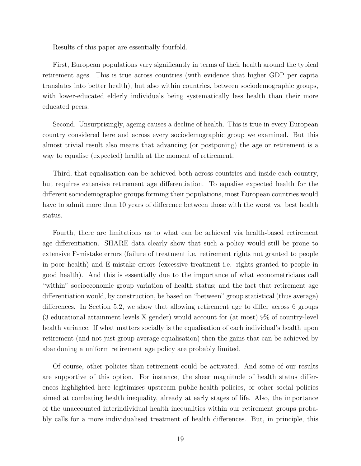Results of this paper are essentially fourfold.

First, European populations vary significantly in terms of their health around the typical retirement ages. This is true across countries (with evidence that higher GDP per capita translates into better health), but also within countries, between sociodemographic groups, with lower-educated elderly individuals being systematically less health than their more educated peers.

Second. Unsurprisingly, ageing causes a decline of health. This is true in every European country considered here and across every sociodemographic group we examined. But this almost trivial result also means that advancing (or postponing) the age or retirement is a way to equalise (expected) health at the moment of retirement.

Third, that equalisation can be achieved both across countries and inside each country, but requires extensive retirement age differentiation. To equalise expected health for the different sociodemographic groups forming their populations, most European countries would have to admit more than 10 years of difference between those with the worst vs. best health status.

Fourth, there are limitations as to what can be achieved via health-based retirement age differentiation. SHARE data clearly show that such a policy would still be prone to extensive F-mistake errors (failure of treatment i.e. retirement rights not granted to people in poor health) and E-mistake errors (excessive treatment i.e. rights granted to people in good health). And this is essentially due to the importance of what econometricians call "within" socioeconomic group variation of health status; and the fact that retirement age differentiation would, by construction, be based on "between" group statistical (thus average) differences. In Section 5.2, we show that allowing retirement age to differ across 6 groups (3 educational attainment levels X gender) would account for (at most) 9% of country-level health variance. If what matters socially is the equalisation of each individual's health upon retirement (and not just group average equalisation) then the gains that can be achieved by abandoning a uniform retirement age policy are probably limited.

Of course, other policies than retirement could be activated. And some of our results are supportive of this option. For instance, the sheer magnitude of health status differences highlighted here legitimises upstream public-health policies, or other social policies aimed at combating health inequality, already at early stages of life. Also, the importance of the unaccounted interindividual health inequalities within our retirement groups probably calls for a more individualised treatment of health differences. But, in principle, this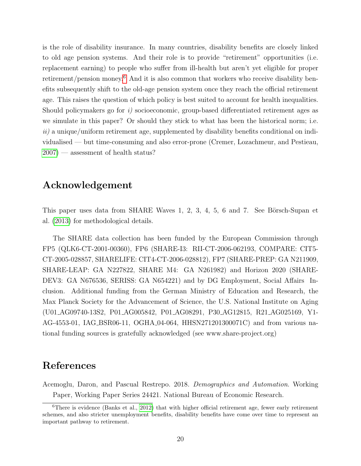is the role of disability insurance. In many countries, disability benefits are closely linked to old age pension systems. And their role is to provide "retirement" opportunities (i.e. replacement earning) to people who suffer from ill-health but aren't yet eligible for proper retirement/pension money.[6](#page-21-1) And it is also common that workers who receive disability benefits subsequently shift to the old-age pension system once they reach the official retirement age. This raises the question of which policy is best suited to account for health inequalities. Should policymakers go for i) socioeconomic, group-based differentiated retirement ages as we simulate in this paper? Or should they stick to what has been the historical norm; i.e.  $ii)$  a unique/uniform retirement age, supplemented by disability benefits conditional on individualised — but time-consuming and also error-prone (Cremer, Lozachmeur, and Pestieau,  $2007$  — assessment of health status?

#### Acknowledgement

This paper uses data from SHARE Waves  $1, 2, 3, 4, 5, 6$  and  $7$ . See Börsch-Supan et al. [\(2013\)](#page-22-12) for methodological details.

The SHARE data collection has been funded by the European Commission through FP5 (QLK6-CT-2001-00360), FP6 (SHARE-I3: RII-CT-2006-062193, COMPARE: CIT5- CT-2005-028857, SHARELIFE: CIT4-CT-2006-028812), FP7 (SHARE-PREP: GA N211909, SHARE-LEAP: GA N227822, SHARE M4: GA N261982) and Horizon 2020 (SHARE-DEV3: GA N676536, SERISS: GA N654221) and by DG Employment, Social Affairs Inclusion. Additional funding from the German Ministry of Education and Research, the Max Planck Society for the Advancement of Science, the U.S. National Institute on Aging (U01 AG09740-13S2, P01 AG005842, P01 AG08291, P30 AG12815, R21 AG025169, Y1- AG-4553-01, IAG BSR06-11, OGHA 04-064, HHSN271201300071C) and from various national funding sources is gratefully acknowledged (see www.share-project.org)

#### References

<span id="page-21-0"></span>Acemoglu, Daron, and Pascual Restrepo. 2018. Demographics and Automation. Working Paper, Working Paper Series 24421. National Bureau of Economic Research.

<span id="page-21-1"></span><sup>6</sup>There is evidence (Banks et al., [2012\)](#page-22-13) that with higher official retirement age, fewer early retirement schemes, and also stricter unemployment benefits, disability benefits have come over time to represent an important pathway to retirement.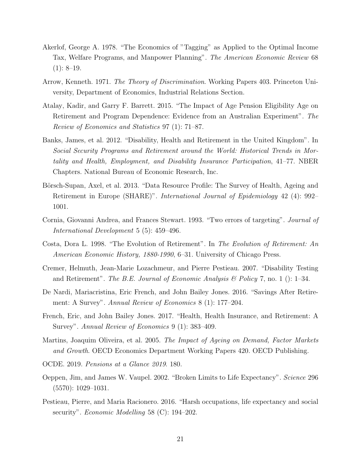- <span id="page-22-7"></span>Akerlof, George A. 1978. "The Economics of "Tagging" as Applied to the Optimal Income Tax, Welfare Programs, and Manpower Planning". The American Economic Review 68  $(1): 8-19.$
- <span id="page-22-11"></span>Arrow, Kenneth. 1971. The Theory of Discrimination. Working Papers 403. Princeton University, Department of Economics, Industrial Relations Section.
- <span id="page-22-2"></span>Atalay, Kadir, and Garry F. Barrett. 2015. "The Impact of Age Pension Eligibility Age on Retirement and Program Dependence: Evidence from an Australian Experiment". The Review of Economics and Statistics 97 (1): 71–87.
- <span id="page-22-13"></span>Banks, James, et al. 2012. "Disability, Health and Retirement in the United Kingdom". In Social Security Programs and Retirement around the World: Historical Trends in Mortality and Health, Employment, and Disability Insurance Participation, 41–77. NBER Chapters. National Bureau of Economic Research, Inc.
- <span id="page-22-12"></span>Börsch-Supan, Axel, et al. 2013. "Data Resource Profile: The Survey of Health, Ageing and Retirement in Europe (SHARE)". International Journal of Epidemiology 42 (4): 992– 1001.
- <span id="page-22-9"></span>Cornia, Giovanni Andrea, and Frances Stewart. 1993. "Two errors of targeting". Journal of International Development 5 (5): 459–496.
- <span id="page-22-3"></span>Costa, Dora L. 1998. "The Evolution of Retirement". In The Evolution of Retirement: An American Economic History, 1880-1990, 6–31. University of Chicago Press.
- <span id="page-22-8"></span>Cremer, Helmuth, Jean-Marie Lozachmeur, and Pierre Pestieau. 2007. "Disability Testing and Retirement". The B.E. Journal of Economic Analysis & Policy 7, no. 1 (): 1–34.
- <span id="page-22-4"></span>De Nardi, Mariacristina, Eric French, and John Bailey Jones. 2016. "Savings After Retirement: A Survey". *Annual Review of Economics* 8 (1): 177–204.
- <span id="page-22-5"></span>French, Eric, and John Bailey Jones. 2017. "Health, Health Insurance, and Retirement: A Survey". Annual Review of Economics 9 (1): 383-409.
- <span id="page-22-1"></span>Martins, Joaquim Oliveira, et al. 2005. The Impact of Ageing on Demand, Factor Markets and Growth. OECD Economics Department Working Papers 420. OECD Publishing.
- <span id="page-22-10"></span>OCDE. 2019. Pensions at a Glance 2019. 180.
- <span id="page-22-0"></span>Oeppen, Jim, and James W. Vaupel. 2002. "Broken Limits to Life Expectancy". Science 296  $(5570): 1029 - 1031.$
- <span id="page-22-6"></span>Pestieau, Pierre, and Maria Racionero. 2016. "Harsh occupations, life expectancy and social security". *Economic Modelling* 58 (C): 194–202.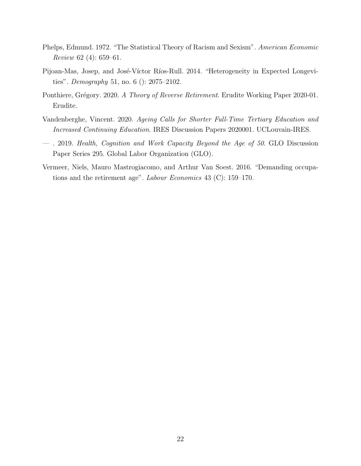- <span id="page-23-4"></span>Phelps, Edmund. 1972. "The Statistical Theory of Racism and Sexism". American Economic Review 62 (4): 659–61.
- <span id="page-23-2"></span>Pijoan-Mas, Josep, and José-Víctor Ríos-Rull. 2014. "Heterogeneity in Expected Longevities". Demography 51, no. 6 (): 2075–2102.
- <span id="page-23-5"></span>Ponthiere, Grégory. 2020. A Theory of Reverse Retirement. Erudite Working Paper 2020-01. Erudite.
- <span id="page-23-0"></span>Vandenberghe, Vincent. 2020. Ageing Calls for Shorter Full-Time Tertiary Education and Increased Continuing Education. IRES Discussion Papers 2020001. UCLouvain-IRES.
- <span id="page-23-1"></span>— . 2019. Health, Cognition and Work Capacity Beyond the Age of 50. GLO Discussion Paper Series 295. Global Labor Organization (GLO).
- <span id="page-23-3"></span>Vermeer, Niels, Mauro Mastrogiacomo, and Arthur Van Soest. 2016. "Demanding occupations and the retirement age". Labour Economics 43 (C): 159–170.